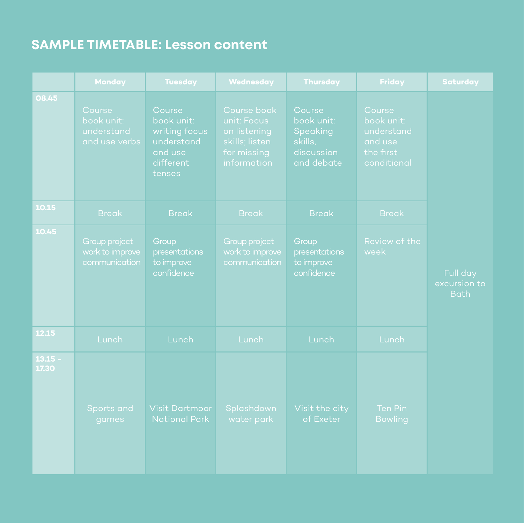## **SAMPLE TIMETABLE: Lesson content**

|                    | <b>Monday</b>                                       | <b>Tuesday</b>                                                                        | Wednesday                                                                                  | <b>Thursday</b>                                                         | <b>Friday</b>                                                             | <b>Saturday</b>                         |
|--------------------|-----------------------------------------------------|---------------------------------------------------------------------------------------|--------------------------------------------------------------------------------------------|-------------------------------------------------------------------------|---------------------------------------------------------------------------|-----------------------------------------|
| 08.45              | Course<br>book unit:<br>understand<br>and use verbs | Course<br>book unit:<br>writing focus<br>understand<br>and use<br>different<br>tenses | Course book<br>unit: Focus<br>on listening<br>skills; listen<br>for missing<br>information | Course<br>book unit:<br>Speaking<br>skills,<br>discussion<br>and debate | Course<br>book unit:<br>understand<br>and use<br>the first<br>conditional |                                         |
| 10.15              | <b>Break</b>                                        | <b>Break</b>                                                                          | <b>Break</b>                                                                               | <b>Break</b>                                                            | <b>Break</b>                                                              |                                         |
| 10.45              | Group project<br>work to improve<br>communication   | Group<br>presentations<br>to improve<br>confidence                                    | Group project<br>work to improve<br>communication                                          | Group<br>presentations<br>to improve<br>confidence                      | Review of the<br>week                                                     | Full day<br>excursion to<br><b>Bath</b> |
| 12.15              | Lunch                                               | Lunch                                                                                 | Lunch                                                                                      | Lunch                                                                   | Lunch                                                                     |                                         |
| $13.15 -$<br>17.30 | Sports and<br>games                                 | <b>Visit Dartmoor</b><br><b>National Park</b>                                         | Splashdown<br>water park                                                                   | Visit the city<br>of Exeter                                             | <b>Ten Pin</b><br><b>Bowling</b>                                          |                                         |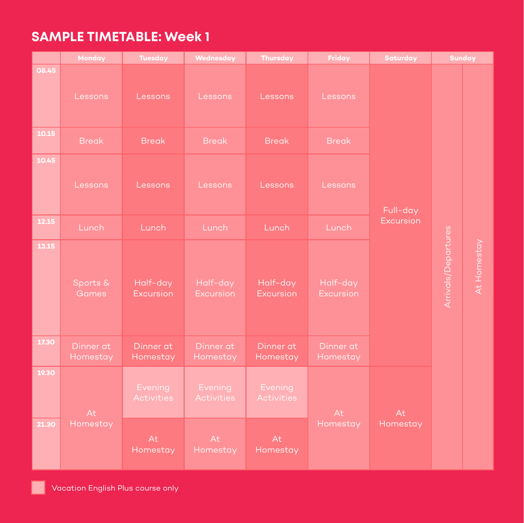## **SAMPLE TIMETABLE: Week 1**

|       | Monday                   | <b>Tuesday</b>               | Wednesday                    | <b>Thursday</b>              | Friday                       | Saturday       | <b>Sunday</b>       |             |
|-------|--------------------------|------------------------------|------------------------------|------------------------------|------------------------------|----------------|---------------------|-------------|
| 08.45 | Lessons                  | Lessons                      | Lessons                      | Lessons                      | Lessons                      |                |                     |             |
| 10.15 | <b>Break</b>             | <b>Break</b>                 | <b>Break</b>                 | <b>Break</b>                 | <b>Break</b>                 |                | Arrivals/Departures |             |
| 10.45 | Lessons                  | Lessons                      | Lessons                      | Lessons                      | Lessons                      | Full-day       |                     |             |
| 12.15 | Lunch                    | Lunch                        | Lunch                        | Lunch                        | Lunch                        | Excursion      |                     |             |
| 13.15 | Sports &<br><b>Games</b> | Half-day<br><b>Excursion</b> | Half-day<br><b>Excursion</b> | Half-day<br><b>Excursion</b> | Half-day<br><b>Excursion</b> |                |                     | At Homestay |
| 17.30 | Dinner at<br>Homestay    | Dinner at<br>Homestay        | Dinner at<br>Homestay        | Dinner at<br>Homestay        | Dinner at<br>Homestay        |                |                     |             |
| 19.30 | At                       | Evening<br>Activities        | Evening<br>Activities        | Evening<br>Activities        | At                           | At<br>Homestay |                     |             |
| 21.30 | Homestay                 | At<br>Homestay               | At<br>Homestay               | At<br>Homestay               | Homestay                     |                |                     |             |

n l